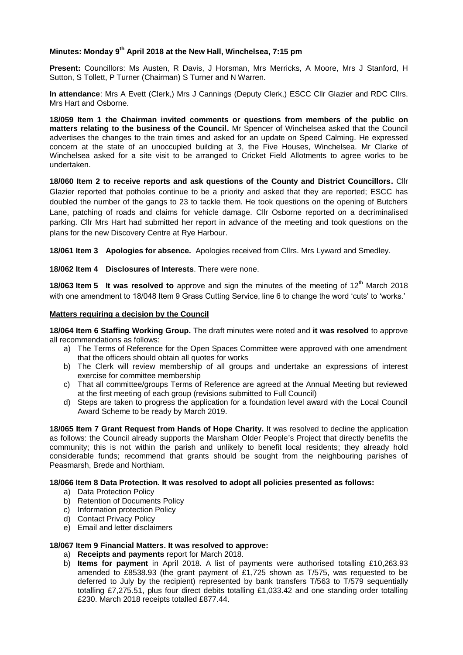# **Minutes: Monday 9 th April 2018 at the New Hall, Winchelsea, 7:15 pm**

**Present:** Councillors: Ms Austen, R Davis, J Horsman, Mrs Merricks, A Moore, Mrs J Stanford, H Sutton, S Tollett, P Turner (Chairman) S Turner and N Warren.

**In attendance**: Mrs A Evett (Clerk,) Mrs J Cannings (Deputy Clerk,) ESCC Cllr Glazier and RDC Cllrs. Mrs Hart and Osborne.

**18/059 Item 1 the Chairman invited comments or questions from members of the public on matters relating to the business of the Council.** Mr Spencer of Winchelsea asked that the Council advertises the changes to the train times and asked for an update on Speed Calming. He expressed concern at the state of an unoccupied building at 3, the Five Houses, Winchelsea. Mr Clarke of Winchelsea asked for a site visit to be arranged to Cricket Field Allotments to agree works to be undertaken.

**18/060 Item 2 to receive reports and ask questions of the County and District Councillors.** Cllr Glazier reported that potholes continue to be a priority and asked that they are reported; ESCC has doubled the number of the gangs to 23 to tackle them. He took questions on the opening of Butchers Lane, patching of roads and claims for vehicle damage. Cllr Osborne reported on a decriminalised parking. Cllr Mrs Hart had submitted her report in advance of the meeting and took questions on the plans for the new Discovery Centre at Rye Harbour.

**18/061 Item 3 Apologies for absence.** Apologies received from Cllrs. Mrs Lyward and Smedley.

**18/062 Item 4 Disclosures of Interests**. There were none.

**18/063 Item 5 It was resolved to** approve and sign the minutes of the meeting of 12<sup>th</sup> March 2018 with one amendment to 18/048 Item 9 Grass Cutting Service, line 6 to change the word 'cuts' to 'works.'

### **Matters requiring a decision by the Council**

**18/064 Item 6 Staffing Working Group.** The draft minutes were noted and **it was resolved** to approve all recommendations as follows:

- a) The Terms of Reference for the Open Spaces Committee were approved with one amendment that the officers should obtain all quotes for works
- b) The Clerk will review membership of all groups and undertake an expressions of interest exercise for committee membership
- c) That all committee/groups Terms of Reference are agreed at the Annual Meeting but reviewed at the first meeting of each group (revisions submitted to Full Council)
- d) Steps are taken to progress the application for a foundation level award with the Local Council Award Scheme to be ready by March 2019.

**18/065 Item 7 Grant Request from Hands of Hope Charity.** It was resolved to decline the application as follows: the Council already supports the Marsham Older People's Project that directly benefits the community; this is not within the parish and unlikely to benefit local residents; they already hold considerable funds; recommend that grants should be sought from the neighbouring parishes of Peasmarsh, Brede and Northiam.

# **18/066 Item 8 Data Protection. It was resolved to adopt all policies presented as follows:**

- a) Data Protection Policy
- b) Retention of Documents Policy
- c) Information protection Policy
- d) Contact Privacy Policy
- e) Email and letter disclaimers

### **18/067 Item 9 Financial Matters. It was resolved to approve:**

- a) **Receipts and payments** report for March 2018.
- b) **Items for payment** in April 2018. A list of payments were authorised totalling £10,263.93 amended to £8538.93 (the grant payment of £1,725 shown as T/575, was requested to be deferred to July by the recipient) represented by bank transfers T/563 to T/579 sequentially totalling £7,275.51, plus four direct debits totalling £1,033.42 and one standing order totalling £230. March 2018 receipts totalled £877.44.